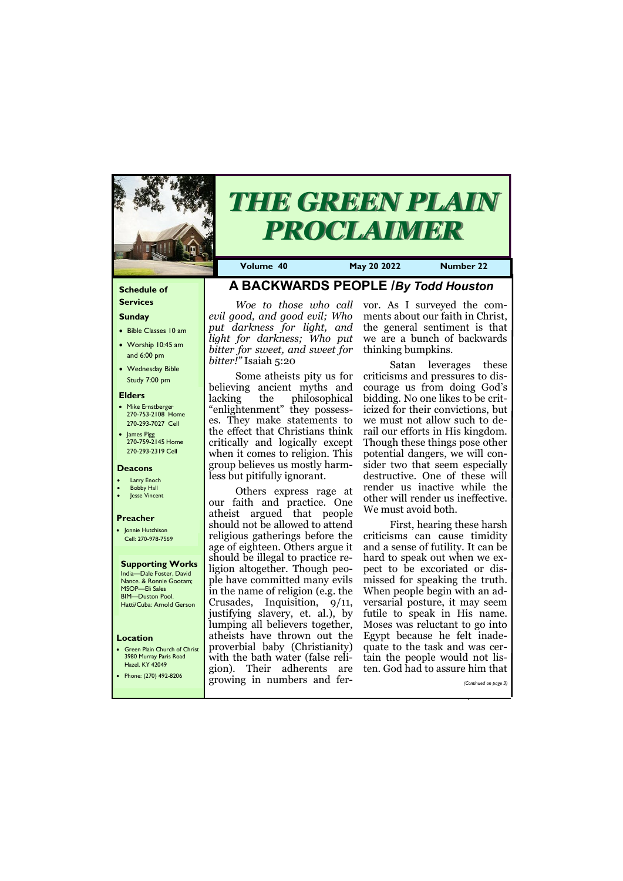#### **Schedule of Services**

#### **Sunday**

- Bible Classes 10 am
- Worship 10:45 am and 6:00 pm
- Wednesday Bible Study 7:00 pm

#### **Elders**

- Mike Ernstberger 270-753-2108 Home 270-293-7027 Cell
- James Pigg 270-759-2145 Home 270-293-2319 Cell

#### **Location**

• Green Plain Church of Christ 3980 Murray Paris Road Hazel, KY 42049



# *THE GREEN PLAIN PROCLAIMER*

**Volume 40 May 20 2022 Number 22**

#### **Deacons**

#### **Larry Enoch**

- **Bobby Hall**
- **Jesse Vincent**

#### **Preacher**

• Jonnie Hutchison Cell: 270-978-7569

**Supporting Works** India—Dale Foster, David Nance. & Ronnie Gootam; MSOP—Eli Sales BIM—Duston Pool. Hatti/Cuba: Arnold Gerson

## **A BACKWARDS PEOPLE /***By Todd Houston*

*evil good, and good evil; Who put darkness for light, and light for darkness; Who put bitter for sweet, and sweet for bitter!"* Isaiah 5:20

Woe to those who call vor. As I surveyed the comments about our faith in Christ, the general sentiment is that we are a bunch of backwards thinking bumpkins.

Some atheists pity us for believing ancient myths and lacking the philosophical "enlightenment" they possesses. They make statements to the effect that Christians think critically and logically except when it comes to religion. This group believes us mostly harmless but pitifully ignorant.

Others express rage at our faith and practice. One atheist argued that people should not be allowed to attend religious gatherings before the age of eighteen. Others argue it should be illegal to practice religion altogether. Though people have committed many evils in the name of religion (e.g. the Crusades, Inquisition, 9/11, justifying slavery, et. al.), by lumping all believers together, atheists have thrown out the proverbial baby (Christianity) with the bath water (false reli-

| Hazel, KT 42049<br>Phone: (270) 492-8206 | gion).                        | Their adherents are ten. God had to assure him that |
|------------------------------------------|-------------------------------|-----------------------------------------------------|
|                                          | I growing in numbers and fer- | (Continued on page 3)                               |
|                                          |                               |                                                     |

Satan leverages these criticisms and pressures to discourage us from doing God's bidding. No one likes to be criticized for their convictions, but we must not allow such to derail our efforts in His kingdom. Though these things pose other potential dangers, we will consider two that seem especially destructive. One of these will render us inactive while the other will render us ineffective. We must avoid both.

First, hearing these harsh criticisms can cause timidity and a sense of futility. It can be hard to speak out when we expect to be excoriated or dismissed for speaking the truth. When people begin with an adversarial posture, it may seem futile to speak in His name. Moses was reluctant to go into Egypt because he felt inadequate to the task and was certain the people would not lis-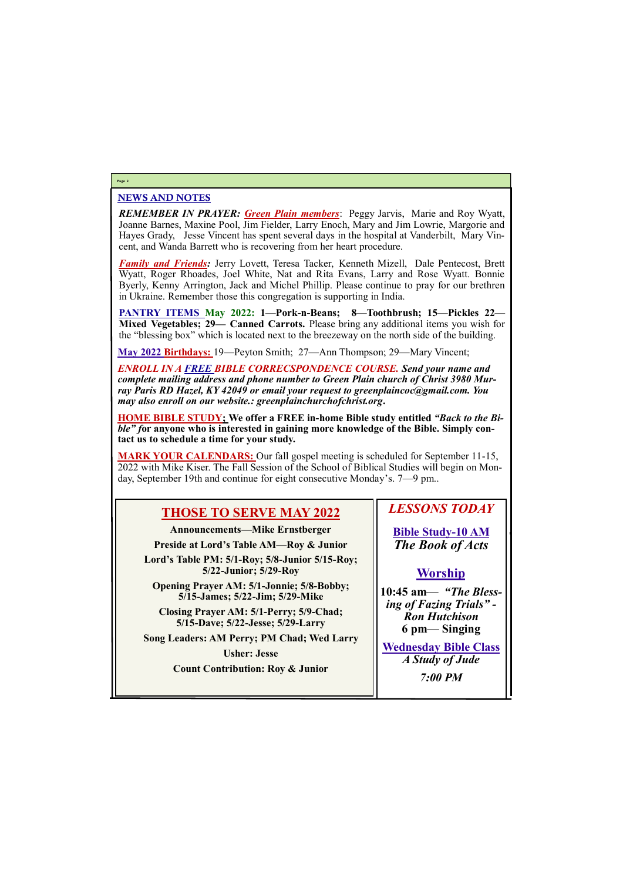#### NEWS AND NOTES

*REMEMBER IN PRAYER: Green Plain members*: Peggy Jarvis, Marie and Roy Wyatt, Joanne Barnes, Maxine Pool, Jim Fielder, Larry Enoch, Mary and Jim Lowrie, Margorie and Hayes Grady, Jesse Vincent has spent several days in the hospital at Vanderbilt, Mary Vincent, and Wanda Barrett who is recovering from her heart procedure.

*Family and Friends:* Jerry Lovett, Teresa Tacker, Kenneth Mizell, Dale Pentecost, Brett Wyatt, Roger Rhoades, Joel White, Nat and Rita Evans, Larry and Rose Wyatt. Bonnie Byerly, Kenny Arrington, Jack and Michel Phillip. Please continue to pray for our brethren in Ukraine. Remember those this congregation is supporting in India.

**PANTRY ITEMS May 2022: 1—Pork-n-Beans; 8—Toothbrush; 15—Pickles 22— Mixed Vegetables; 29— Canned Carrots.** Please bring any additional items you wish for the "blessing box" which is located next to the breezeway on the north side of the building.

**May 2022 Birthdays:** 19—Peyton Smith; 27—Ann Thompson; 29—Mary Vincent;

*ENROLL IN A FREE BIBLE CORRECSPONDENCE COURSE. Send your name and complete mailing address and phone number to Green Plain church of Christ 3980 Murray Paris RD Hazel, KY 42049 or email your request to greenplaincoc@gmail.com. You may also enroll on our website.: greenplainchurchofchrist.org***.**

**HOME BIBLE STUDY; We offer a FREE in-home Bible study entitled** *"Back to the Bible" f***or anyone who is interested in gaining more knowledge of the Bible. Simply contact us to schedule a time for your study.**

**MARK YOUR CALENDARS:** Our fall gospel meeting is scheduled for September 11-15, 2022 with Mike Kiser. The Fall Session of the School of Biblical Studies will begin on Monday, September 19th and continue for eight consecutive Monday's. 7—9 pm..

#### **Page 2**

## **THOSE TO SERVE MAY 2022**

**Announcements—Mike Ernstberger**

**Preside at Lord's Table AM—Roy & Junior**

**Lord's Table PM: 5/1-Roy; 5/8-Junior 5/15-Roy; 5/22-Junior; 5/29-Roy**

**Opening Prayer AM: 5/1-Jonnie; 5/8-Bobby; 5/15-James; 5/22-Jim; 5/29-Mike**

**Closing Prayer AM: 5/1-Perry; 5/9-Chad; 5/15-Dave; 5/22-Jesse; 5/29-Larry**

**Song Leaders: AM Perry; PM Chad; Wed Larry**

**Usher: Jesse**

*LESSONS TODAY*

**Bible Study-10 AM** *The Book of Acts*

## **Worship**

| <b>Count Contribution: Roy &amp; Junior</b> |                |
|---------------------------------------------|----------------|
|                                             | <b>7:00 PM</b> |
|                                             |                |

**10:45 am***— "The Blessing of Fazing Trials" - Ron Hutchison* **6 pm— Singing**

**Wednesday Bible Class** *A Study of Jude*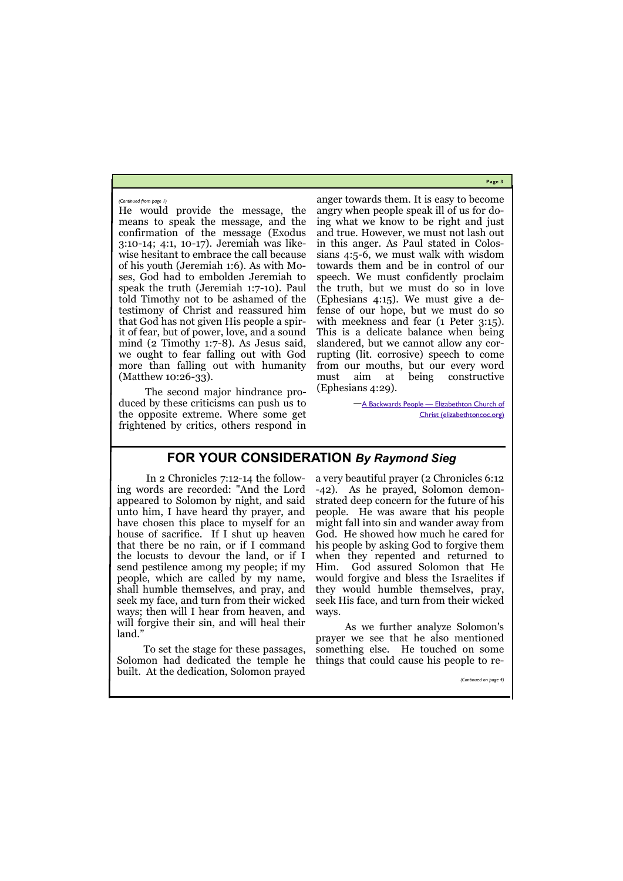**Page 3**

He would provide the message, the means to speak the message, and the confirmation of the message (Exodus 3:10-14; 4:1, 10-17). Jeremiah was likewise hesitant to embrace the call because of his youth (Jeremiah 1:6). As with Moses, God had to embolden Jeremiah to speak the truth (Jeremiah 1:7-10). Paul told Timothy not to be ashamed of the testimony of Christ and reassured him that God has not given His people a spirit of fear, but of power, love, and a sound mind (2 Timothy 1:7-8). As Jesus said, we ought to fear falling out with God more than falling out with humanity (Matthew 10:26-33).

The second major hindrance produced by these criticisms can push us to the opposite extreme. Where some get frightened by critics, others respond in

 $-\underline{A}$  Backwards People - Elizabethton Church of [Christ \(elizabethtoncoc.org\)](http://elizabethtoncoc.org/bulletin-articles/a-backwards-people)

anger towards them. It is easy to become angry when people speak ill of us for doing what we know to be right and just and true. However, we must not lash out in this anger. As Paul stated in Colossians 4:5-6, we must walk with wisdom towards them and be in control of our speech. We must confidently proclaim the truth, but we must do so in love (Ephesians 4:15). We must give a defense of our hope, but we must do so with meekness and fear (1 Peter 3:15). This is a delicate balance when being slandered, but we cannot allow any corrupting (lit. corrosive) speech to come from our mouths, but our every word must aim at being constructive (Ephesians 4:29).

#### *(Continued from page 1)*

## **FOR YOUR CONSIDERATION** *By Raymond Sieg*

In 2 Chronicles 7:12-14 the following words are recorded: "And the Lord appeared to Solomon by night, and said unto him, I have heard thy prayer, and have chosen this place to myself for an house of sacrifice. If I shut up heaven that there be no rain, or if I command the locusts to devour the land, or if I send pestilence among my people; if my people, which are called by my name, shall humble themselves, and pray, and seek my face, and turn from their wicked ways; then will I hear from heaven, and will forgive their sin, and will heal their land."

To set the stage for these passages, Solomon had dedicated the temple he a very beautiful prayer (2 Chronicles 6:12 -42). As he prayed, Solomon demonstrated deep concern for the future of his people. He was aware that his people might fall into sin and wander away from God. He showed how much he cared for his people by asking God to forgive them when they repented and returned to Him. God assured Solomon that He would forgive and bless the Israelites if they would humble themselves, pray, seek His face, and turn from their wicked ways.

built. At the dedication, Solomon prayed *(Continued on page 4)*

As we further analyze Solomon's prayer we see that he also mentioned something else. He touched on some things that could cause his people to re-